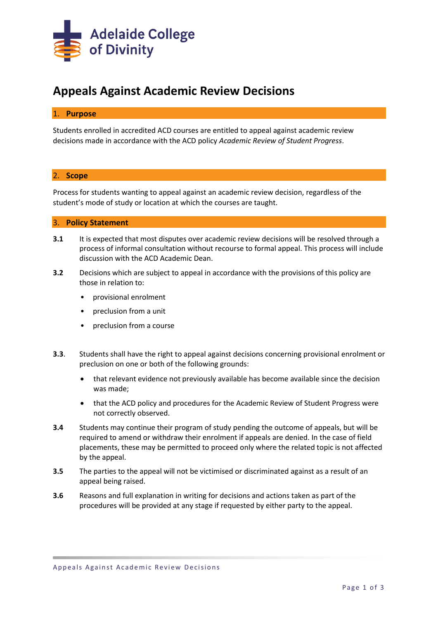

# **Appeals Against Academic Review Decisions**

#### 1. **Purpose**

Students enrolled in accredited ACD courses are entitled to appeal against academic review decisions made in accordance with the ACD policy *Academic Review of Student Progress*.

#### 2. **Scope**

Process for students wanting to appeal against an academic review decision, regardless of the student's mode of study or location at which the courses are taught.

#### 3. **Policy Statement**

- **3.1** It is expected that most disputes over academic review decisions will be resolved through a process of informal consultation without recourse to formal appeal. This process will include discussion with the ACD Academic Dean.
- **3.2** Decisions which are subject to appeal in accordance with the provisions of this policy are those in relation to:
	- provisional enrolment
	- preclusion from a unit
	- preclusion from a course
- **3.3**. Students shall have the right to appeal against decisions concerning provisional enrolment or preclusion on one or both of the following grounds:
	- that relevant evidence not previously available has become available since the decision was made;
	- that the ACD policy and procedures for the Academic Review of Student Progress were not correctly observed.
- **3.4** Students may continue their program of study pending the outcome of appeals, but will be required to amend or withdraw their enrolment if appeals are denied. In the case of field placements, these may be permitted to proceed only where the related topic is not affected by the appeal.
- **3.5** The parties to the appeal will not be victimised or discriminated against as a result of an appeal being raised.
- **3.6** Reasons and full explanation in writing for decisions and actions taken as part of the procedures will be provided at any stage if requested by either party to the appeal.

Appeals Against Academic Review Decisions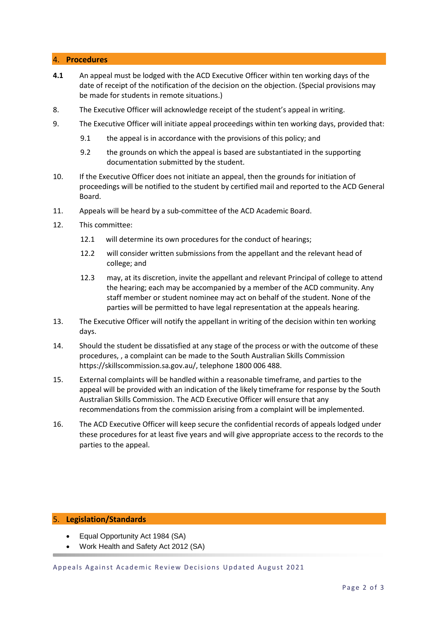## 4. **Procedures**

- **4.1** An appeal must be lodged with the ACD Executive Officer within ten working days of the date of receipt of the notification of the decision on the objection. (Special provisions may be made for students in remote situations.)
- 8. The Executive Officer will acknowledge receipt of the student's appeal in writing.
- 9. The Executive Officer will initiate appeal proceedings within ten working days, provided that:
	- 9.1 the appeal is in accordance with the provisions of this policy; and
	- 9.2 the grounds on which the appeal is based are substantiated in the supporting documentation submitted by the student.
- 10. If the Executive Officer does not initiate an appeal, then the grounds for initiation of proceedings will be notified to the student by certified mail and reported to the ACD General Board.
- 11. Appeals will be heard by a sub-committee of the ACD Academic Board.
- 12. This committee:
	- 12.1 will determine its own procedures for the conduct of hearings;
	- 12.2 will consider written submissions from the appellant and the relevant head of college; and
	- 12.3 may, at its discretion, invite the appellant and relevant Principal of college to attend the hearing; each may be accompanied by a member of the ACD community. Any staff member or student nominee may act on behalf of the student. None of the parties will be permitted to have legal representation at the appeals hearing.
- 13. The Executive Officer will notify the appellant in writing of the decision within ten working days.
- 14. Should the student be dissatisfied at any stage of the process or with the outcome of these procedures, , a complaint can be made to the South Australian Skills Commission https://skillscommission.sa.gov.au/, telephone 1800 006 488.
- 15. External complaints will be handled within a reasonable timeframe, and parties to the appeal will be provided with an indication of the likely timeframe for response by the South Australian Skills Commission. The ACD Executive Officer will ensure that any recommendations from the commission arising from a complaint will be implemented.
- 16. The ACD Executive Officer will keep secure the confidential records of appeals lodged under these procedures for at least five years and will give appropriate access to the records to the parties to the appeal.

#### 5. **Legislation/Standards**

- Equal Opportunity Act 1984 (SA)
- Work Health and Safety Act 2012 (SA)

Appeals Against Academic Review Decisions Updated August 2021